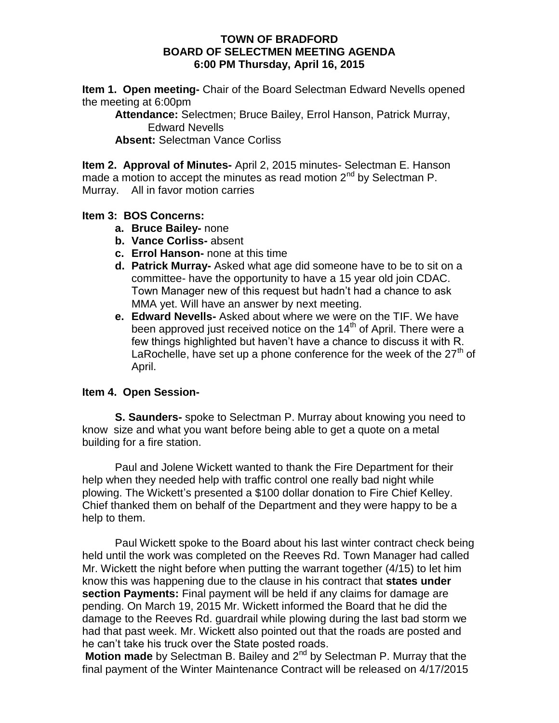### **TOWN OF BRADFORD BOARD OF SELECTMEN MEETING AGENDA 6:00 PM Thursday, April 16, 2015**

**Item 1. Open meeting-** Chair of the Board Selectman Edward Nevells opened the meeting at 6:00pm

**Attendance:** Selectmen; Bruce Bailey, Errol Hanson, Patrick Murray, Edward Nevells

**Absent:** Selectman Vance Corliss

**Item 2. Approval of Minutes-** April 2, 2015 minutes- Selectman E. Hanson made a motion to accept the minutes as read motion 2<sup>nd</sup> by Selectman P. Murray. All in favor motion carries

## **Item 3: BOS Concerns:**

- **a. Bruce Bailey-** none
- **b. Vance Corliss-** absent
- **c. Errol Hanson-** none at this time
- **d. Patrick Murray-** Asked what age did someone have to be to sit on a committee- have the opportunity to have a 15 year old join CDAC. Town Manager new of this request but hadn't had a chance to ask MMA yet. Will have an answer by next meeting.
- **e. Edward Nevells-** Asked about where we were on the TIF. We have been approved just received notice on the  $14<sup>th</sup>$  of April. There were a few things highlighted but haven't have a chance to discuss it with R. LaRochelle, have set up a phone conference for the week of the  $27<sup>th</sup>$  of April.

# **Item 4. Open Session-**

**S. Saunders-** spoke to Selectman P. Murray about knowing you need to know size and what you want before being able to get a quote on a metal building for a fire station.

Paul and Jolene Wickett wanted to thank the Fire Department for their help when they needed help with traffic control one really bad night while plowing. The Wickett's presented a \$100 dollar donation to Fire Chief Kelley. Chief thanked them on behalf of the Department and they were happy to be a help to them.

Paul Wickett spoke to the Board about his last winter contract check being held until the work was completed on the Reeves Rd. Town Manager had called Mr. Wickett the night before when putting the warrant together (4/15) to let him know this was happening due to the clause in his contract that **states under section Payments:** Final payment will be held if any claims for damage are pending. On March 19, 2015 Mr. Wickett informed the Board that he did the damage to the Reeves Rd. guardrail while plowing during the last bad storm we had that past week. Mr. Wickett also pointed out that the roads are posted and he can't take his truck over the State posted roads.

**Motion made** by Selectman B. Bailey and 2<sup>nd</sup> by Selectman P. Murray that the final payment of the Winter Maintenance Contract will be released on 4/17/2015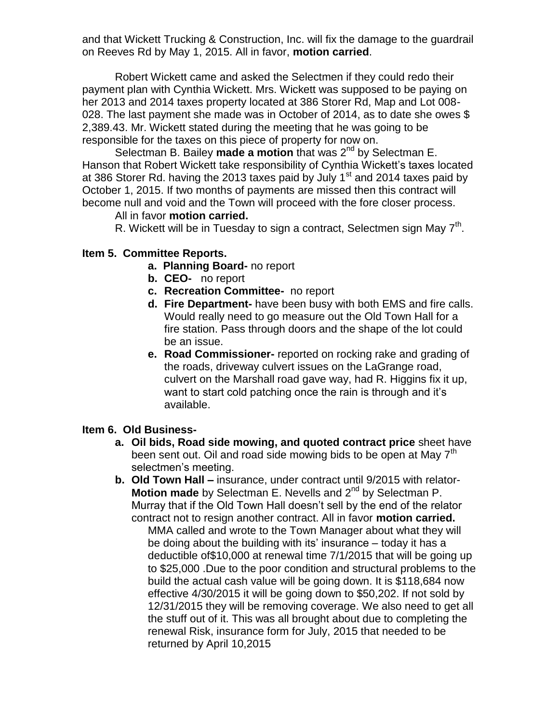and that Wickett Trucking & Construction, Inc. will fix the damage to the guardrail on Reeves Rd by May 1, 2015. All in favor, **motion carried**.

Robert Wickett came and asked the Selectmen if they could redo their payment plan with Cynthia Wickett. Mrs. Wickett was supposed to be paying on her 2013 and 2014 taxes property located at 386 Storer Rd, Map and Lot 008- 028. The last payment she made was in October of 2014, as to date she owes \$ 2,389.43. Mr. Wickett stated during the meeting that he was going to be responsible for the taxes on this piece of property for now on.

Selectman B. Bailey **made a motion** that was 2<sup>nd</sup> by Selectman E. Hanson that Robert Wickett take responsibility of Cynthia Wickett's taxes located at 386 Storer Rd. having the 2013 taxes paid by July  $1<sup>st</sup>$  and 2014 taxes paid by October 1, 2015. If two months of payments are missed then this contract will become null and void and the Town will proceed with the fore closer process.

### All in favor **motion carried.**

R. Wickett will be in Tuesday to sign a contract, Selectmen sign May 7<sup>th</sup>.

## **Item 5. Committee Reports.**

- **a. Planning Board-** no report
- **b. CEO-** no report
- **c. Recreation Committee-** no report
- **d. Fire Department-** have been busy with both EMS and fire calls. Would really need to go measure out the Old Town Hall for a fire station. Pass through doors and the shape of the lot could be an issue.
- **e. Road Commissioner-** reported on rocking rake and grading of the roads, driveway culvert issues on the LaGrange road, culvert on the Marshall road gave way, had R. Higgins fix it up, want to start cold patching once the rain is through and it's available.

#### **Item 6. Old Business-**

- **a. Oil bids, Road side mowing, and quoted contract price** sheet have been sent out. Oil and road side mowing bids to be open at May  $7<sup>tn</sup>$ selectmen's meeting.
- **b. Old Town Hall –** insurance, under contract until 9/2015 with relator-**Motion made** by Selectman E. Nevells and 2<sup>nd</sup> by Selectman P. Murray that if the Old Town Hall doesn't sell by the end of the relator contract not to resign another contract. All in favor **motion carried.**

MMA called and wrote to the Town Manager about what they will be doing about the building with its' insurance – today it has a deductible of\$10,000 at renewal time 7/1/2015 that will be going up to \$25,000 .Due to the poor condition and structural problems to the build the actual cash value will be going down. It is \$118,684 now effective 4/30/2015 it will be going down to \$50,202. If not sold by 12/31/2015 they will be removing coverage. We also need to get all the stuff out of it. This was all brought about due to completing the renewal Risk, insurance form for July, 2015 that needed to be returned by April 10,2015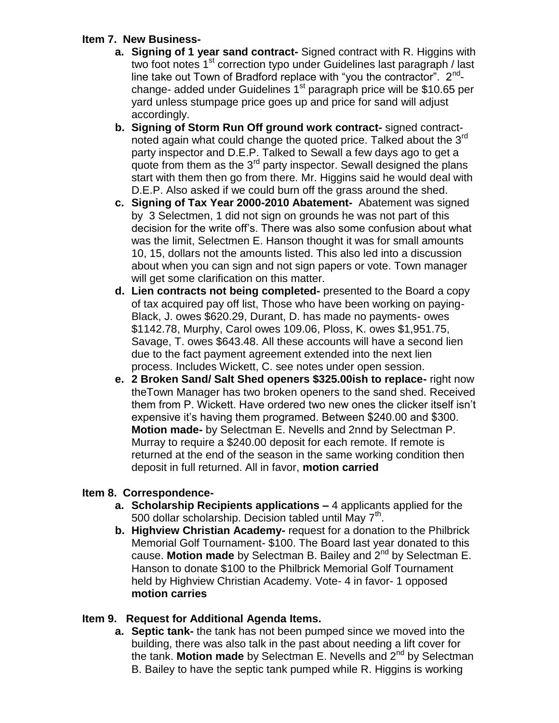# **Item 7. New Business-**

- **a. Signing of 1 year sand contract-** Signed contract with R. Higgins with two foot notes  $1<sup>st</sup>$  correction typo under Guidelines last paragraph / last line take out Town of Bradford replace with "you the contractor". 2<sup>nd</sup>change- added under Guidelines  $1<sup>st</sup>$  paragraph price will be \$10.65 per yard unless stumpage price goes up and price for sand will adjust accordingly.
- **b. Signing of Storm Run Off ground work contract-** signed contractnoted again what could change the quoted price. Talked about the  $3<sup>rd</sup>$ party inspector and D.E.P. Talked to Sewall a few days ago to get a quote from them as the  $3<sup>rd</sup>$  party inspector. Sewall designed the plans start with them then go from there. Mr. Higgins said he would deal with D.E.P. Also asked if we could burn off the grass around the shed.
- **c. Signing of Tax Year 2000-2010 Abatement-** Abatement was signed by 3 Selectmen, 1 did not sign on grounds he was not part of this decision for the write off's. There was also some confusion about what was the limit, Selectmen E. Hanson thought it was for small amounts 10, 15, dollars not the amounts listed. This also led into a discussion about when you can sign and not sign papers or vote. Town manager will get some clarification on this matter.
- **d. Lien contracts not being completed-** presented to the Board a copy of tax acquired pay off list, Those who have been working on paying-Black, J. owes \$620.29, Durant, D. has made no payments- owes \$1142.78, Murphy, Carol owes 109.06, Ploss, K. owes \$1,951.75, Savage, T. owes \$643.48. All these accounts will have a second lien due to the fact payment agreement extended into the next lien process. Includes Wickett, C. see notes under open session.
- **e. 2 Broken Sand/ Salt Shed openers \$325.00ish to replace-** right now theTown Manager has two broken openers to the sand shed. Received them from P. Wickett. Have ordered two new ones the clicker itself isn't expensive it's having them programed. Between \$240.00 and \$300. **Motion made-** by Selectman E. Nevells and 2nnd by Selectman P. Murray to require a \$240.00 deposit for each remote. If remote is returned at the end of the season in the same working condition then deposit in full returned. All in favor, **motion carried**

# **Item 8. Correspondence-**

- **a. Scholarship Recipients applications –** 4 applicants applied for the 500 dollar scholarship. Decision tabled until May  $7<sup>th</sup>$ .
- **b. Highview Christian Academy-** request for a donation to the Philbrick Memorial Golf Tournament- \$100. The Board last year donated to this cause. **Motion made** by Selectman B. Bailey and 2nd by Selectman E. Hanson to donate \$100 to the Philbrick Memorial Golf Tournament held by Highview Christian Academy. Vote- 4 in favor- 1 opposed **motion carries**

# **Item 9. Request for Additional Agenda Items.**

**a. Septic tank-** the tank has not been pumped since we moved into the building, there was also talk in the past about needing a lift cover for the tank. **Motion made** by Selectman E. Nevells and 2<sup>nd</sup> by Selectman B. Bailey to have the septic tank pumped while R. Higgins is working